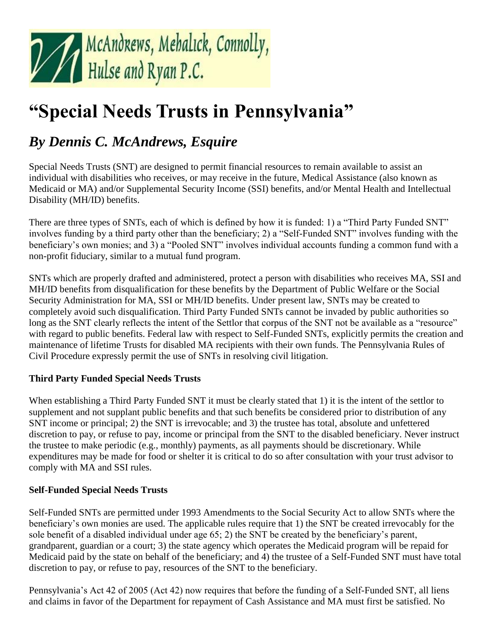

# **"Special Needs Trusts in Pennsylvania"**

# *By Dennis C. McAndrews, Esquire*

Special Needs Trusts (SNT) are designed to permit financial resources to remain available to assist an individual with disabilities who receives, or may receive in the future, Medical Assistance (also known as Medicaid or MA) and/or Supplemental Security Income (SSI) benefits, and/or Mental Health and Intellectual Disability (MH/ID) benefits.

There are three types of SNTs, each of which is defined by how it is funded: 1) a "Third Party Funded SNT" involves funding by a third party other than the beneficiary; 2) a "Self-Funded SNT" involves funding with the beneficiary's own monies; and 3) a "Pooled SNT" involves individual accounts funding a common fund with a non-profit fiduciary, similar to a mutual fund program.

SNTs which are properly drafted and administered, protect a person with disabilities who receives MA, SSI and MH/ID benefits from disqualification for these benefits by the Department of Public Welfare or the Social Security Administration for MA, SSI or MH/ID benefits. Under present law, SNTs may be created to completely avoid such disqualification. Third Party Funded SNTs cannot be invaded by public authorities so long as the SNT clearly reflects the intent of the Settlor that corpus of the SNT not be available as a "resource" with regard to public benefits. Federal law with respect to Self-Funded SNTs, explicitly permits the creation and maintenance of lifetime Trusts for disabled MA recipients with their own funds. The Pennsylvania Rules of Civil Procedure expressly permit the use of SNTs in resolving civil litigation.

#### **Third Party Funded Special Needs Trusts**

When establishing a Third Party Funded SNT it must be clearly stated that 1) it is the intent of the settlor to supplement and not supplant public benefits and that such benefits be considered prior to distribution of any SNT income or principal; 2) the SNT is irrevocable; and 3) the trustee has total, absolute and unfettered discretion to pay, or refuse to pay, income or principal from the SNT to the disabled beneficiary. Never instruct the trustee to make periodic (e.g., monthly) payments, as all payments should be discretionary. While expenditures may be made for food or shelter it is critical to do so after consultation with your trust advisor to comply with MA and SSI rules.

#### **Self-Funded Special Needs Trusts**

Self-Funded SNTs are permitted under 1993 Amendments to the Social Security Act to allow SNTs where the beneficiary's own monies are used. The applicable rules require that 1) the SNT be created irrevocably for the sole benefit of a disabled individual under age 65; 2) the SNT be created by the beneficiary's parent, grandparent, guardian or a court; 3) the state agency which operates the Medicaid program will be repaid for Medicaid paid by the state on behalf of the beneficiary; and 4) the trustee of a Self-Funded SNT must have total discretion to pay, or refuse to pay, resources of the SNT to the beneficiary.

Pennsylvania's Act 42 of 2005 (Act 42) now requires that before the funding of a Self-Funded SNT, all liens and claims in favor of the Department for repayment of Cash Assistance and MA must first be satisfied. No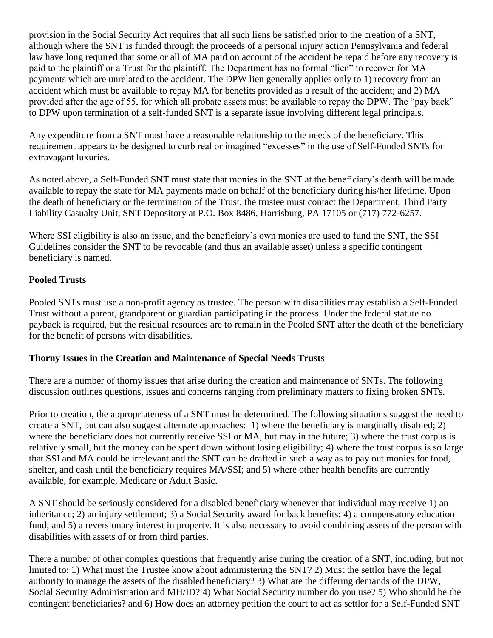provision in the Social Security Act requires that all such liens be satisfied prior to the creation of a SNT, although where the SNT is funded through the proceeds of a personal injury action Pennsylvania and federal law have long required that some or all of MA paid on account of the accident be repaid before any recovery is paid to the plaintiff or a Trust for the plaintiff. The Department has no formal "lien" to recover for MA payments which are unrelated to the accident. The DPW lien generally applies only to 1) recovery from an accident which must be available to repay MA for benefits provided as a result of the accident; and 2) MA provided after the age of 55, for which all probate assets must be available to repay the DPW. The "pay back" to DPW upon termination of a self-funded SNT is a separate issue involving different legal principals.

Any expenditure from a SNT must have a reasonable relationship to the needs of the beneficiary. This requirement appears to be designed to curb real or imagined "excesses" in the use of Self-Funded SNTs for extravagant luxuries.

As noted above, a Self-Funded SNT must state that monies in the SNT at the beneficiary's death will be made available to repay the state for MA payments made on behalf of the beneficiary during his/her lifetime. Upon the death of beneficiary or the termination of the Trust, the trustee must contact the Department, Third Party Liability Casualty Unit, SNT Depository at P.O. Box 8486, Harrisburg, PA 17105 or (717) 772-6257.

Where SSI eligibility is also an issue, and the beneficiary's own monies are used to fund the SNT, the SSI Guidelines consider the SNT to be revocable (and thus an available asset) unless a specific contingent beneficiary is named.

# **Pooled Trusts**

Pooled SNTs must use a non-profit agency as trustee. The person with disabilities may establish a Self-Funded Trust without a parent, grandparent or guardian participating in the process. Under the federal statute no payback is required, but the residual resources are to remain in the Pooled SNT after the death of the beneficiary for the benefit of persons with disabilities.

#### **Thorny Issues in the Creation and Maintenance of Special Needs Trusts**

There are a number of thorny issues that arise during the creation and maintenance of SNTs. The following discussion outlines questions, issues and concerns ranging from preliminary matters to fixing broken SNTs.

Prior to creation, the appropriateness of a SNT must be determined. The following situations suggest the need to create a SNT, but can also suggest alternate approaches: 1) where the beneficiary is marginally disabled; 2) where the beneficiary does not currently receive SSI or MA, but may in the future; 3) where the trust corpus is relatively small, but the money can be spent down without losing eligibility; 4) where the trust corpus is so large that SSI and MA could be irrelevant and the SNT can be drafted in such a way as to pay out monies for food, shelter, and cash until the beneficiary requires MA/SSI; and 5) where other health benefits are currently available, for example, Medicare or Adult Basic.

A SNT should be seriously considered for a disabled beneficiary whenever that individual may receive 1) an inheritance; 2) an injury settlement; 3) a Social Security award for back benefits; 4) a compensatory education fund; and 5) a reversionary interest in property. It is also necessary to avoid combining assets of the person with disabilities with assets of or from third parties.

There a number of other complex questions that frequently arise during the creation of a SNT, including, but not limited to: 1) What must the Trustee know about administering the SNT? 2) Must the settlor have the legal authority to manage the assets of the disabled beneficiary? 3) What are the differing demands of the DPW, Social Security Administration and MH/ID? 4) What Social Security number do you use? 5) Who should be the contingent beneficiaries? and 6) How does an attorney petition the court to act as settlor for a Self-Funded SNT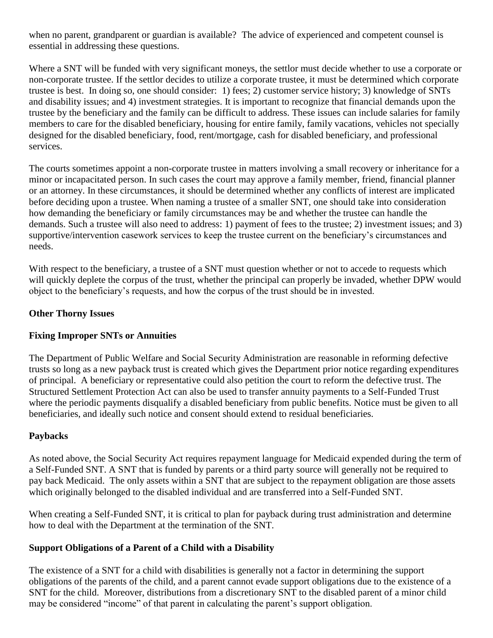when no parent, grandparent or guardian is available? The advice of experienced and competent counsel is essential in addressing these questions.

Where a SNT will be funded with very significant moneys, the settlor must decide whether to use a corporate or non-corporate trustee. If the settlor decides to utilize a corporate trustee, it must be determined which corporate trustee is best. In doing so, one should consider: 1) fees; 2) customer service history; 3) knowledge of SNTs and disability issues; and 4) investment strategies. It is important to recognize that financial demands upon the trustee by the beneficiary and the family can be difficult to address. These issues can include salaries for family members to care for the disabled beneficiary, housing for entire family, family vacations, vehicles not specially designed for the disabled beneficiary, food, rent/mortgage, cash for disabled beneficiary, and professional services.

The courts sometimes appoint a non-corporate trustee in matters involving a small recovery or inheritance for a minor or incapacitated person. In such cases the court may approve a family member, friend, financial planner or an attorney. In these circumstances, it should be determined whether any conflicts of interest are implicated before deciding upon a trustee. When naming a trustee of a smaller SNT, one should take into consideration how demanding the beneficiary or family circumstances may be and whether the trustee can handle the demands. Such a trustee will also need to address: 1) payment of fees to the trustee; 2) investment issues; and 3) supportive/intervention casework services to keep the trustee current on the beneficiary's circumstances and needs.

With respect to the beneficiary, a trustee of a SNT must question whether or not to accede to requests which will quickly deplete the corpus of the trust, whether the principal can properly be invaded, whether DPW would object to the beneficiary's requests, and how the corpus of the trust should be in invested.

#### **Other Thorny Issues**

#### **Fixing Improper SNTs or Annuities**

The Department of Public Welfare and Social Security Administration are reasonable in reforming defective trusts so long as a new payback trust is created which gives the Department prior notice regarding expenditures of principal. A beneficiary or representative could also petition the court to reform the defective trust. The Structured Settlement Protection Act can also be used to transfer annuity payments to a Self-Funded Trust where the periodic payments disqualify a disabled beneficiary from public benefits. Notice must be given to all beneficiaries, and ideally such notice and consent should extend to residual beneficiaries.

#### **Paybacks**

As noted above, the Social Security Act requires repayment language for Medicaid expended during the term of a Self-Funded SNT. A SNT that is funded by parents or a third party source will generally not be required to pay back Medicaid. The only assets within a SNT that are subject to the repayment obligation are those assets which originally belonged to the disabled individual and are transferred into a Self-Funded SNT.

When creating a Self-Funded SNT, it is critical to plan for payback during trust administration and determine how to deal with the Department at the termination of the SNT.

#### **Support Obligations of a Parent of a Child with a Disability**

The existence of a SNT for a child with disabilities is generally not a factor in determining the support obligations of the parents of the child, and a parent cannot evade support obligations due to the existence of a SNT for the child. Moreover, distributions from a discretionary SNT to the disabled parent of a minor child may be considered "income" of that parent in calculating the parent's support obligation.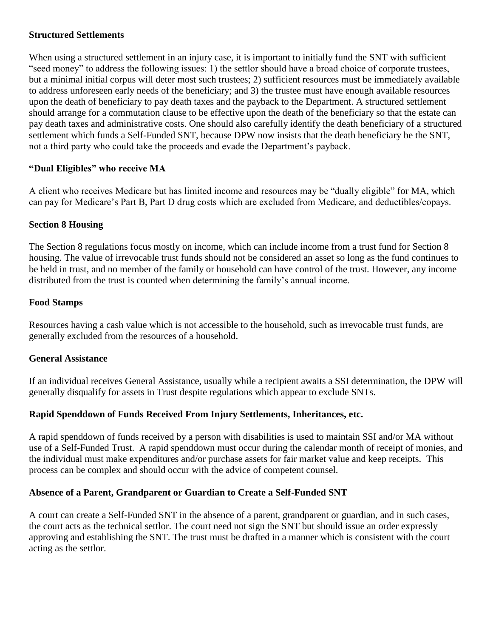#### **Structured Settlements**

When using a structured settlement in an injury case, it is important to initially fund the SNT with sufficient "seed money" to address the following issues: 1) the settlor should have a broad choice of corporate trustees, but a minimal initial corpus will deter most such trustees; 2) sufficient resources must be immediately available to address unforeseen early needs of the beneficiary; and 3) the trustee must have enough available resources upon the death of beneficiary to pay death taxes and the payback to the Department. A structured settlement should arrange for a commutation clause to be effective upon the death of the beneficiary so that the estate can pay death taxes and administrative costs. One should also carefully identify the death beneficiary of a structured settlement which funds a Self-Funded SNT, because DPW now insists that the death beneficiary be the SNT, not a third party who could take the proceeds and evade the Department's payback.

# **"Dual Eligibles" who receive MA**

A client who receives Medicare but has limited income and resources may be "dually eligible" for MA, which can pay for Medicare's Part B, Part D drug costs which are excluded from Medicare, and deductibles/copays.

#### **Section 8 Housing**

The Section 8 regulations focus mostly on income, which can include income from a trust fund for Section 8 housing. The value of irrevocable trust funds should not be considered an asset so long as the fund continues to be held in trust, and no member of the family or household can have control of the trust. However, any income distributed from the trust is counted when determining the family's annual income.

#### **Food Stamps**

Resources having a cash value which is not accessible to the household, such as irrevocable trust funds, are generally excluded from the resources of a household.

#### **General Assistance**

If an individual receives General Assistance, usually while a recipient awaits a SSI determination, the DPW will generally disqualify for assets in Trust despite regulations which appear to exclude SNTs.

# **Rapid Spenddown of Funds Received From Injury Settlements, Inheritances, etc.**

A rapid spenddown of funds received by a person with disabilities is used to maintain SSI and/or MA without use of a Self-Funded Trust. A rapid spenddown must occur during the calendar month of receipt of monies, and the individual must make expenditures and/or purchase assets for fair market value and keep receipts. This process can be complex and should occur with the advice of competent counsel.

#### **Absence of a Parent, Grandparent or Guardian to Create a Self-Funded SNT**

A court can create a Self-Funded SNT in the absence of a parent, grandparent or guardian, and in such cases, the court acts as the technical settlor. The court need not sign the SNT but should issue an order expressly approving and establishing the SNT. The trust must be drafted in a manner which is consistent with the court acting as the settlor.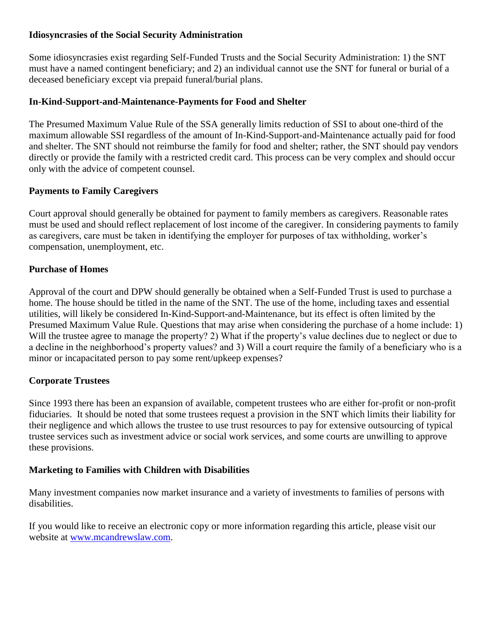#### **Idiosyncrasies of the Social Security Administration**

Some idiosyncrasies exist regarding Self-Funded Trusts and the Social Security Administration: 1) the SNT must have a named contingent beneficiary; and 2) an individual cannot use the SNT for funeral or burial of a deceased beneficiary except via prepaid funeral/burial plans.

# **In-Kind-Support-and-Maintenance-Payments for Food and Shelter**

The Presumed Maximum Value Rule of the SSA generally limits reduction of SSI to about one-third of the maximum allowable SSI regardless of the amount of In-Kind-Support-and-Maintenance actually paid for food and shelter. The SNT should not reimburse the family for food and shelter; rather, the SNT should pay vendors directly or provide the family with a restricted credit card. This process can be very complex and should occur only with the advice of competent counsel.

# **Payments to Family Caregivers**

Court approval should generally be obtained for payment to family members as caregivers. Reasonable rates must be used and should reflect replacement of lost income of the caregiver. In considering payments to family as caregivers, care must be taken in identifying the employer for purposes of tax withholding, worker's compensation, unemployment, etc.

# **Purchase of Homes**

Approval of the court and DPW should generally be obtained when a Self-Funded Trust is used to purchase a home. The house should be titled in the name of the SNT. The use of the home, including taxes and essential utilities, will likely be considered In-Kind-Support-and-Maintenance, but its effect is often limited by the Presumed Maximum Value Rule. Questions that may arise when considering the purchase of a home include: 1) Will the trustee agree to manage the property? 2) What if the property's value declines due to neglect or due to a decline in the neighborhood's property values? and 3) Will a court require the family of a beneficiary who is a minor or incapacitated person to pay some rent/upkeep expenses?

# **Corporate Trustees**

Since 1993 there has been an expansion of available, competent trustees who are either for-profit or non-profit fiduciaries. It should be noted that some trustees request a provision in the SNT which limits their liability for their negligence and which allows the trustee to use trust resources to pay for extensive outsourcing of typical trustee services such as investment advice or social work services, and some courts are unwilling to approve these provisions.

# **Marketing to Families with Children with Disabilities**

Many investment companies now market insurance and a variety of investments to families of persons with disabilities.

If you would like to receive an electronic copy or more information regarding this article, please visit our website at [www.mcandrewslaw.com.](http://mcandrewslaw.com/)